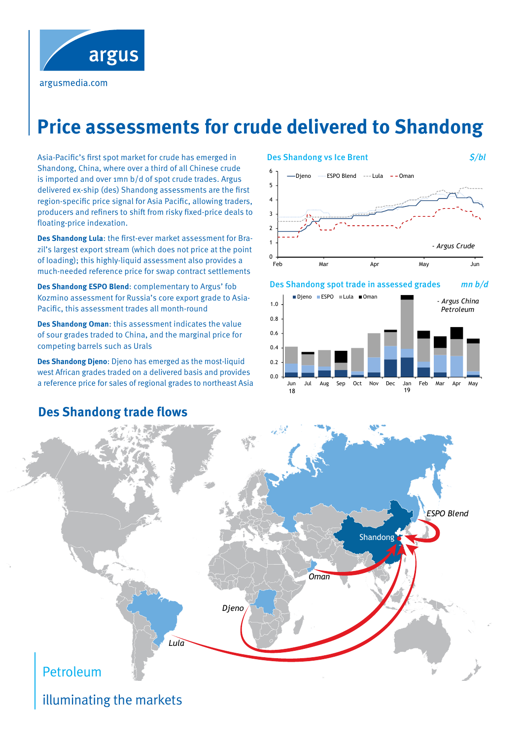

argusmedia.com

## **Price assessments for crude delivered to Shandong**

Asia-Pacific's first spot market for crude has emerged in Shandong, China, where over a third of all Chinese crude is imported and over 1mn b/d of spot crude trades. Argus delivered ex-ship (des) Shandong assessments are the first region-specific price signal for Asia Pacific, allowing traders, producers and refiners to shift from risky fixed-price deals to floating-price indexation.

**Des Shandong Lula**: the first-ever market assessment for Brazil's largest export stream (which does not price at the point of loading); this highly-liquid assessment also provides a much-needed reference price for swap contract settlements

**Des Shandong ESPO Blend**: complementary to Argus' fob Kozmino assessment for Russia's core export grade to Asia-Pacific, this assessment trades all month-round

**Des Shandong Oman**: this assessment indicates the value of sour grades traded to China, and the marginal price for competing barrels such as Urals

**Des Shandong Djeno**: Djeno has emerged as the most-liquid west African grades traded on a delivered basis and provides a reference price for sales of regional grades to northeast Asia

#### Des Shandong vs Ice Brent  $\mathcal{S}/bl$ 3 4 5 6 Djeno ...... ESPO Blend --- Lula -- Oman



#### Des Shandong spot trade in assessed grades mn b/d





## illuminating the markets